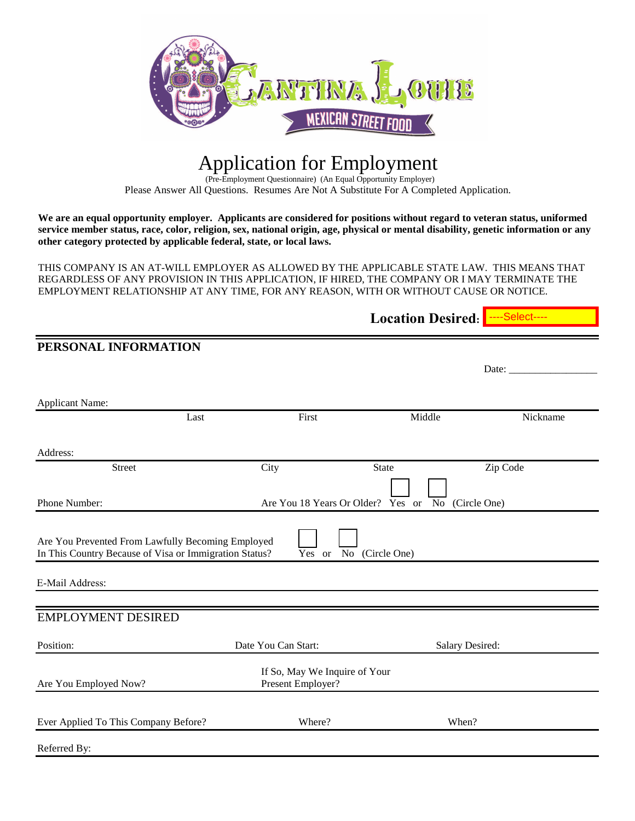

## Application for Employment

(Pre-Employment Questionnaire) (An Equal Opportunity Employer) Please Answer All Questions. Resumes Are Not A Substitute For A Completed Application.

**We are an equal opportunity employer. Applicants are considered for positions without regard to veteran status, uniformed service member status, race, color, religion, sex, national origin, age, physical or mental disability, genetic information or any other category protected by applicable federal, state, or local laws.**

THIS COMPANY IS AN AT-WILL EMPLOYER AS ALLOWED BY THE APPLICABLE STATE LAW. THIS MEANS THAT REGARDLESS OF ANY PROVISION IN THIS APPLICATION, IF HIRED, THE COMPANY OR I MAY TERMINATE THE EMPLOYMENT RELATIONSHIP AT ANY TIME, FOR ANY REASON, WITH OR WITHOUT CAUSE OR NOTICE.

|                                                                                                             |                                                    | Location Desired: ---Select---- |          |
|-------------------------------------------------------------------------------------------------------------|----------------------------------------------------|---------------------------------|----------|
| PERSONAL INFORMATION                                                                                        |                                                    |                                 |          |
|                                                                                                             |                                                    |                                 | Date:    |
| <b>Applicant Name:</b>                                                                                      |                                                    |                                 |          |
| Last                                                                                                        | First                                              | Middle                          | Nickname |
| Address:                                                                                                    |                                                    |                                 |          |
| <b>Street</b>                                                                                               | City                                               | <b>State</b>                    | Zip Code |
| Phone Number:                                                                                               | Are You 18 Years Or Older?                         | No (Circle One)<br>Yes or       |          |
| Are You Prevented From Lawfully Becoming Employed<br>In This Country Because of Visa or Immigration Status? | Yes or                                             | No (Circle One)                 |          |
| E-Mail Address:                                                                                             |                                                    |                                 |          |
| <b>EMPLOYMENT DESIRED</b>                                                                                   |                                                    |                                 |          |
| Position:                                                                                                   | Date You Can Start:                                | Salary Desired:                 |          |
| Are You Employed Now?                                                                                       | If So, May We Inquire of Your<br>Present Employer? |                                 |          |
| Ever Applied To This Company Before?                                                                        | Where?                                             | When?                           |          |
| Referred By:                                                                                                |                                                    |                                 |          |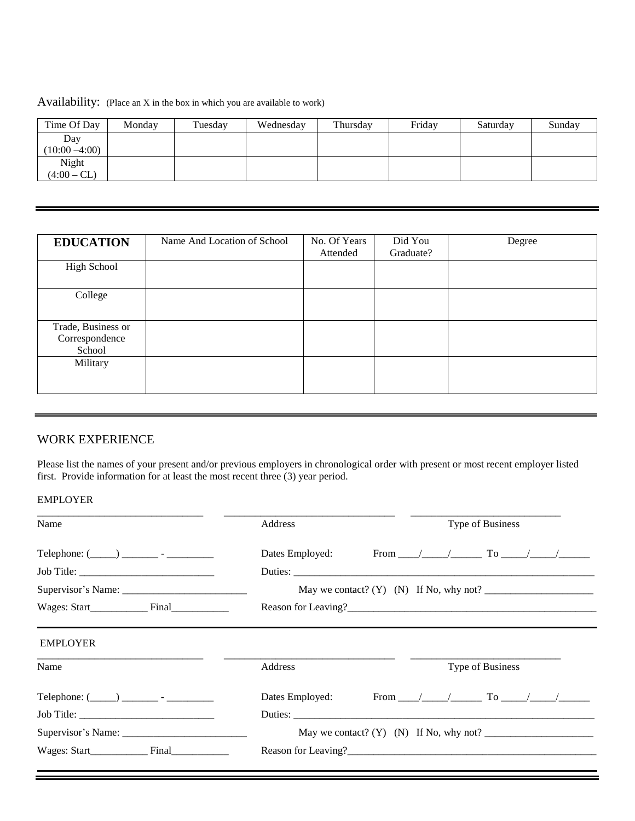Availability: (Place an X in the box in which you are available to work)

| Time Of Day      | Monday | Tuesday | Wednesday | Thursday | Friday | Saturday | Sunday |
|------------------|--------|---------|-----------|----------|--------|----------|--------|
| Day              |        |         |           |          |        |          |        |
| $(10:00 - 4:00)$ |        |         |           |          |        |          |        |
| Night            |        |         |           |          |        |          |        |
| $(4:00 - CL)$    |        |         |           |          |        |          |        |

| <b>EDUCATION</b>                               | Name And Location of School | No. Of Years<br>Attended | Did You<br>Graduate? | Degree |
|------------------------------------------------|-----------------------------|--------------------------|----------------------|--------|
| High School                                    |                             |                          |                      |        |
| College                                        |                             |                          |                      |        |
| Trade, Business or<br>Correspondence<br>School |                             |                          |                      |        |
| Military                                       |                             |                          |                      |        |

## WORK EXPERIENCE

Please list the names of your present and/or previous employers in chronological order with present or most recent employer listed first. Provide information for at least the most recent three (3) year period.

## EMPLOYER

| Name            | Address         |                                                                               | Type of Business |                  |  |  |
|-----------------|-----------------|-------------------------------------------------------------------------------|------------------|------------------|--|--|
|                 | Dates Employed: |                                                                               |                  |                  |  |  |
|                 |                 |                                                                               |                  |                  |  |  |
|                 |                 | May we contact? $(Y)$ $(N)$ If No, why not?                                   |                  |                  |  |  |
|                 |                 |                                                                               |                  |                  |  |  |
| <b>EMPLOYER</b> |                 |                                                                               |                  |                  |  |  |
| Name            | Address         |                                                                               |                  | Type of Business |  |  |
|                 | Dates Employed: | From $\frac{1}{\sqrt{2}}$ . To $\frac{1}{\sqrt{2}}$ . To $\frac{1}{\sqrt{2}}$ |                  |                  |  |  |
|                 | Duties:         |                                                                               |                  |                  |  |  |
|                 |                 |                                                                               |                  |                  |  |  |